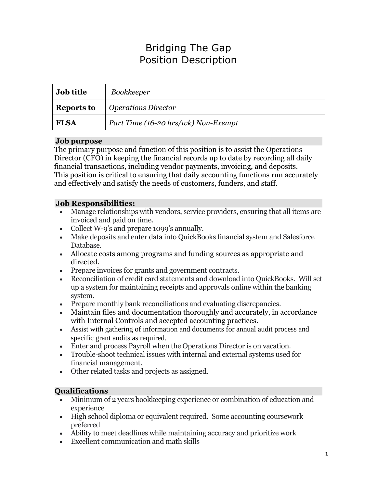# Bridging The Gap Position Description

| <b>Job title</b>  | <i>Bookkeeper</i>                   |
|-------------------|-------------------------------------|
| <b>Reports to</b> | <b>Operations Director</b>          |
| <b>FLSA</b>       | Part Time (16-20 hrs/wk) Non-Exempt |

## **Job purpose**

The primary purpose and function of this position is to assist the Operations Director (CFO) in keeping the financial records up to date by recording all daily financial transactions, including vendor payments, invoicing, and deposits. This position is critical to ensuring that daily accounting functions run accurately and effectively and satisfy the needs of customers, funders, and staff.

#### **Job Responsibilities:**

- Manage relationships with vendors, service providers, ensuring that all items are invoiced and paid on time.
- Collect W-9's and prepare 1099's annually.
- Make deposits and enter data into QuickBooks financial system and Salesforce Database.
- Allocate costs among programs and funding sources as appropriate and directed.
- Prepare invoices for grants and government contracts.
- Reconciliation of credit card statements and download into QuickBooks. Will set up a system for maintaining receipts and approvals online within the banking system.
- Prepare monthly bank reconciliations and evaluating discrepancies.
- Maintain files and documentation thoroughly and accurately, in accordance with Internal Controls and accepted accounting practices.
- Assist with gathering of information and documents for annual audit process and specific grant audits as required.
- Enter and process Payroll when the Operations Director is on vacation.
- Trouble-shoot technical issues with internal and external systems used for financial management.
- Other related tasks and projects as assigned.

## **Qualifications**

- Minimum of 2 years bookkeeping experience or combination of education and experience
- High school diploma or equivalent required. Some accounting coursework preferred
- Ability to meet deadlines while maintaining accuracy and prioritize work
- Excellent communication and math skills